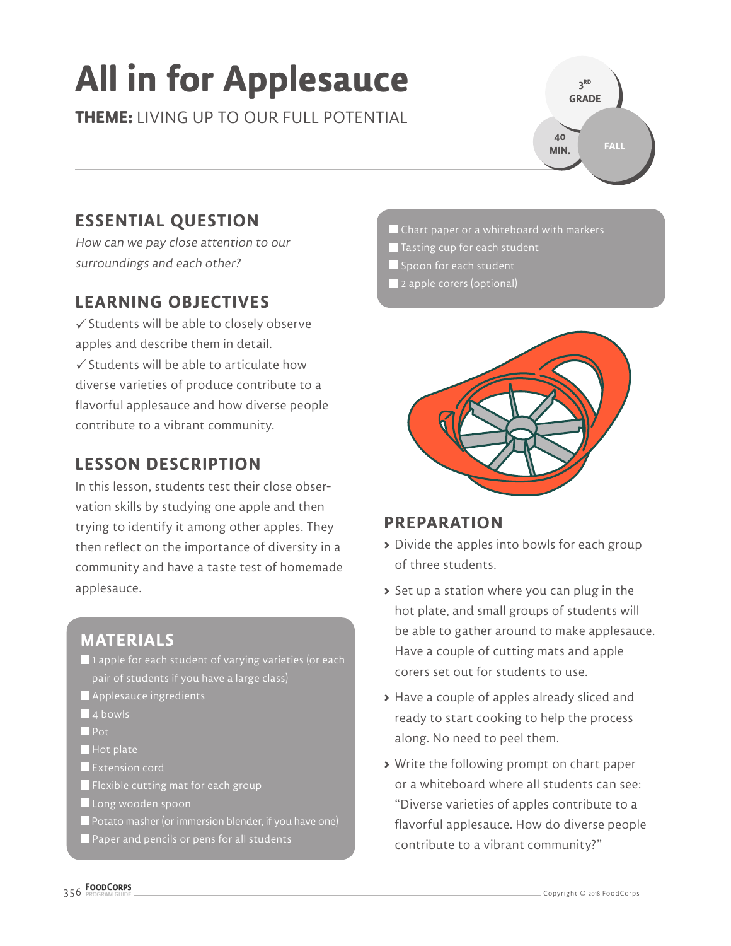# **All in for Applesauce**

**THEME:** LIVING UP TO OUR FULL POTENTIAL

## **ESSENTIAL QUESTION**

How can we pay close attention to our surroundings and each other?

## **LEARNING OBJECTIVES**

 $\checkmark$  Students will be able to closely observe apples and describe them in detail.  $\checkmark$  Students will be able to articulate how

diverse varieties of produce contribute to a flavorful applesauce and how diverse people contribute to a vibrant community.

## **LESSON DESCRIPTION**

In this lesson, students test their close observation skills by studying one apple and then trying to identify it among other apples. They then reflect on the importance of diversity in a community and have a taste test of homemade applesauce.

# **MATERIALS**

- $\blacksquare$  1 apple for each student of varying varieties (or each pair of students if you have a large class)
- **Applesauce ingredients**
- $\blacksquare$  4 bowls
- **Pot**
- $\blacksquare$  Hot plate
- **Extension cord**
- **Flexible cutting mat for each group**
- Long wooden spoon
- **P** Potato masher (or immersion blender, if you have one)
- Paper and pencils or pens for all students

Chart paper or a whiteboard with markers

**3 RD GRADE** 

**40 MIN.**

**FALL**

- $\blacksquare$  Tasting cup for each student
- **Spoon for each student**
- 2 apple corers (optional)



### **PREPARATION**

- **>** Divide the apples into bowls for each group of three students.
- **>** Set up a station where you can plug in the hot plate, and small groups of students will be able to gather around to make applesauce. Have a couple of cutting mats and apple corers set out for students to use.
- **>** Have a couple of apples already sliced and ready to start cooking to help the process along. No need to peel them.
- **>** Write the following prompt on chart paper or a whiteboard where all students can see: "Diverse varieties of apples contribute to a flavorful applesauce. How do diverse people contribute to a vibrant community?"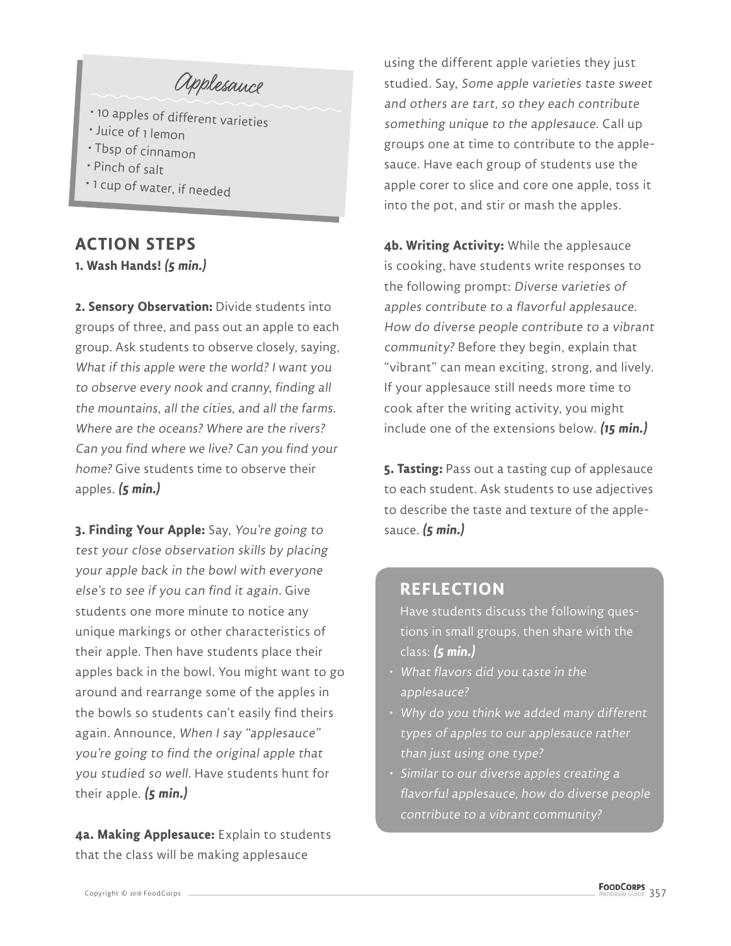Applesauce

- 10 apples of different varieties
- Juice of 1 lemon
- Tbsp of cinnamon
- Pinch of salt
- 1 cup of water, if needed

## **ACTION STEPS**

**1. Wash Hands! (5 min.)**

**2. Sensory Observation:** Divide students into groups of three, and pass out an apple to each group. Ask students to observe closely, saying, What if this apple were the world? I want you to observe every nook and cranny, finding all the mountains, all the cities, and all the farms. Where are the oceans? Where are the rivers? Can you find where we live? Can you find your home? Give students time to observe their apples. **(5 min.)**

**3. Finding Your Apple:** Say, You're going to test your close observation skills by placing your apple back in the bowl with everyone else's to see if you can find it again. Give students one more minute to notice any unique markings or other characteristics of their apple. Then have students place their apples back in the bowl. You might want to go around and rearrange some of the apples in the bowls so students can't easily find theirs again. Announce, When I say "applesauce" you're going to find the original apple that you studied so well. Have students hunt for their apple. **(5 min.)**

**4a. Making Applesauce:** Explain to students that the class will be making applesauce

using the different apple varieties they just studied. Say, Some apple varieties taste sweet and others are tart, so they each contribute something unique to the applesauce. Call up groups one at time to contribute to the applesauce. Have each group of students use the apple corer to slice and core one apple, toss it into the pot, and stir or mash the apples.

**4b. Writing Activity:** While the applesauce is cooking, have students write responses to the following prompt: Diverse varieties of apples contribute to a flavorful applesauce. How do diverse people contribute to a vibrant community? Before they begin, explain that "vibrant" can mean exciting, strong, and lively. If your applesauce still needs more time to cook after the writing activity, you might include one of the extensions below. **(15 min.)**

**5. Tasting:** Pass out a tasting cup of applesauce to each student. Ask students to use adjectives to describe the taste and texture of the applesauce. **(5 min.)**

### **REFLECTION**

Have students discuss the following questions in small groups, then share with the class: **(5 min.)**

- What flavors did you taste in the applesauce?
- Why do you think we added many different types of apples to our applesauce rather than just using one type?
- Similar to our diverse apples creating a flavorful applesauce, how do diverse people contribute to a vibrant community?